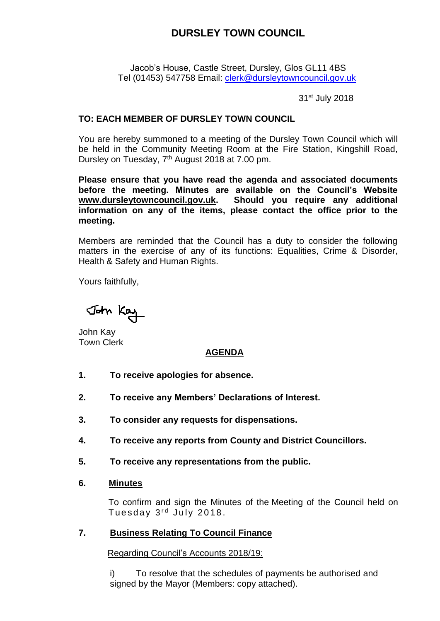## **DURSLEY TOWN COUNCIL**

Jacob's House, Castle Street, Dursley, Glos GL11 4BS Tel (01453) 547758 Email: [clerk@dursleytowncouncil.gov.uk](mailto:clerk@dursleytowncouncil.gov.uk)

31st July 2018

#### **TO: EACH MEMBER OF DURSLEY TOWN COUNCIL**

You are hereby summoned to a meeting of the Dursley Town Council which will be held in the Community Meeting Room at the Fire Station, Kingshill Road, Dursley on Tuesday, 7<sup>th</sup> August 2018 at 7.00 pm.

**Please ensure that you have read the agenda and associated documents before the meeting. Minutes are available on the Council's Website [www.dursleytowncouncil.gov.uk.](http://www.dursleytowncouncil.gov.uk/) Should you require any additional information on any of the items, please contact the office prior to the meeting.** 

Members are reminded that the Council has a duty to consider the following matters in the exercise of any of its functions: Equalities, Crime & Disorder, Health & Safety and Human Rights.

Yours faithfully,

John Kay

John Kay Town Clerk

## **AGENDA**

- **1. To receive apologies for absence.**
- **2. To receive any Members' Declarations of Interest.**
- **3. To consider any requests for dispensations.**
- **4. To receive any reports from County and District Councillors.**
- **5. To receive any representations from the public.**
- **6. Minutes**

To confirm and sign the Minutes of the Meeting of the Council held on Tuesday 3<sup>rd</sup> July 2018.

#### **7. Business Relating To Council Finance**

Regarding Council's Accounts 2018/19:

i) To resolve that the schedules of payments be authorised and signed by the Mayor (Members: copy attached).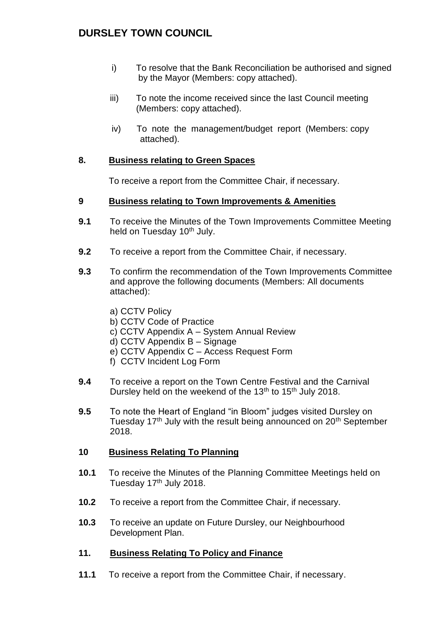## **DURSLEY TOWN COUNCIL**

- i) To resolve that the Bank Reconciliation be authorised and signed by the Mayor (Members: copy attached).
- iii) To note the income received since the last Council meeting (Members: copy attached).
- iv) To note the management/budget report (Members: copy attached).

## **8. Business relating to Green Spaces**

To receive a report from the Committee Chair, if necessary.

## **9 Business relating to Town Improvements & Amenities**

- **9.1** To receive the Minutes of the Town Improvements Committee Meeting held on Tuesday 10<sup>th</sup> July.
- **9.2** To receive a report from the Committee Chair, if necessary.
- **9.3** To confirm the recommendation of the Town Improvements Committee and approve the following documents (Members: All documents attached):
	- a) CCTV Policy
	- b) CCTV Code of Practice
	- c) CCTV Appendix A System Annual Review
	- d) CCTV Appendix B Signage
	- e) CCTV Appendix C Access Request Form
	- f) CCTV Incident Log Form
- **9.4** To receive a report on the Town Centre Festival and the Carnival Dursley held on the weekend of the 13<sup>th</sup> to 15<sup>th</sup> July 2018.
- **9.5** To note the Heart of England "in Bloom" judges visited Dursley on Tuesday 17<sup>th</sup> July with the result being announced on  $20<sup>th</sup>$  September 2018.

#### **10 Business Relating To Planning**

- **10.1** To receive the Minutes of the Planning Committee Meetings held on Tuesday 17<sup>th</sup> July 2018.
- **10.2** To receive a report from the Committee Chair, if necessary.
- **10.3** To receive an update on Future Dursley, our Neighbourhood Development Plan.

#### **11. Business Relating To Policy and Finance**

**11.1** To receive a report from the Committee Chair, if necessary.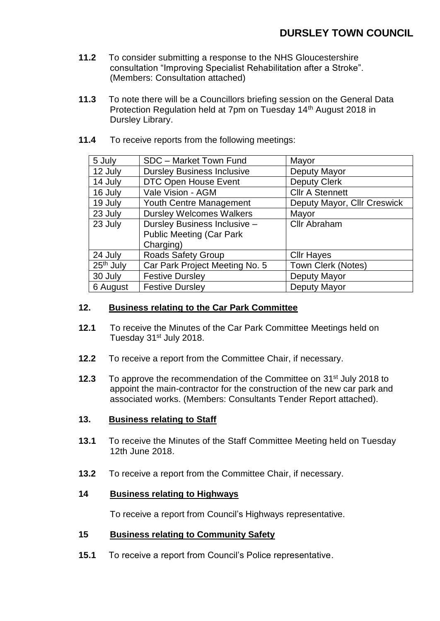- **11.2** To consider submitting a response to the NHS Gloucestershire consultation "Improving Specialist Rehabilitation after a Stroke". (Members: Consultation attached)
- **11.3** To note there will be a Councillors briefing session on the General Data Protection Regulation held at 7pm on Tuesday 14<sup>th</sup> August 2018 in Dursley Library.
- **11.4** To receive reports from the following meetings:

| 5 July                | SDC - Market Town Fund            | Mayor                       |
|-----------------------|-----------------------------------|-----------------------------|
| 12 July               | <b>Dursley Business Inclusive</b> | Deputy Mayor                |
| 14 July               | <b>DTC Open House Event</b>       | <b>Deputy Clerk</b>         |
| 16 July               | Vale Vision - AGM                 | <b>Cllr A Stennett</b>      |
| 19 July               | Youth Centre Management           | Deputy Mayor, Cllr Creswick |
| 23 July               | <b>Dursley Welcomes Walkers</b>   | Mayor                       |
| 23 July               | Dursley Business Inclusive -      | <b>Cllr Abraham</b>         |
|                       | <b>Public Meeting (Car Park)</b>  |                             |
|                       | Charging)                         |                             |
| 24 July               | <b>Roads Safety Group</b>         | <b>Cllr Hayes</b>           |
| 25 <sup>th</sup> July | Car Park Project Meeting No. 5    | Town Clerk (Notes)          |
| 30 July               | <b>Festive Dursley</b>            | Deputy Mayor                |
| 6 August              | <b>Festive Dursley</b>            | Deputy Mayor                |

## **12. Business relating to the Car Park Committee**

- **12.1** To receive the Minutes of the Car Park Committee Meetings held on Tuesday 31<sup>st</sup> July 2018.
- **12.2** To receive a report from the Committee Chair, if necessary.
- **12.3** To approve the recommendation of the Committee on 31st July 2018 to appoint the main-contractor for the construction of the new car park and associated works. (Members: Consultants Tender Report attached).

## **13. Business relating to Staff**

- **13.1** To receive the Minutes of the Staff Committee Meeting held on Tuesday 12th June 2018.
- **13.2** To receive a report from the Committee Chair, if necessary.

#### **14 Business relating to Highways**

To receive a report from Council's Highways representative.

#### **15 Business relating to Community Safety**

**15.1** To receive a report from Council's Police representative.